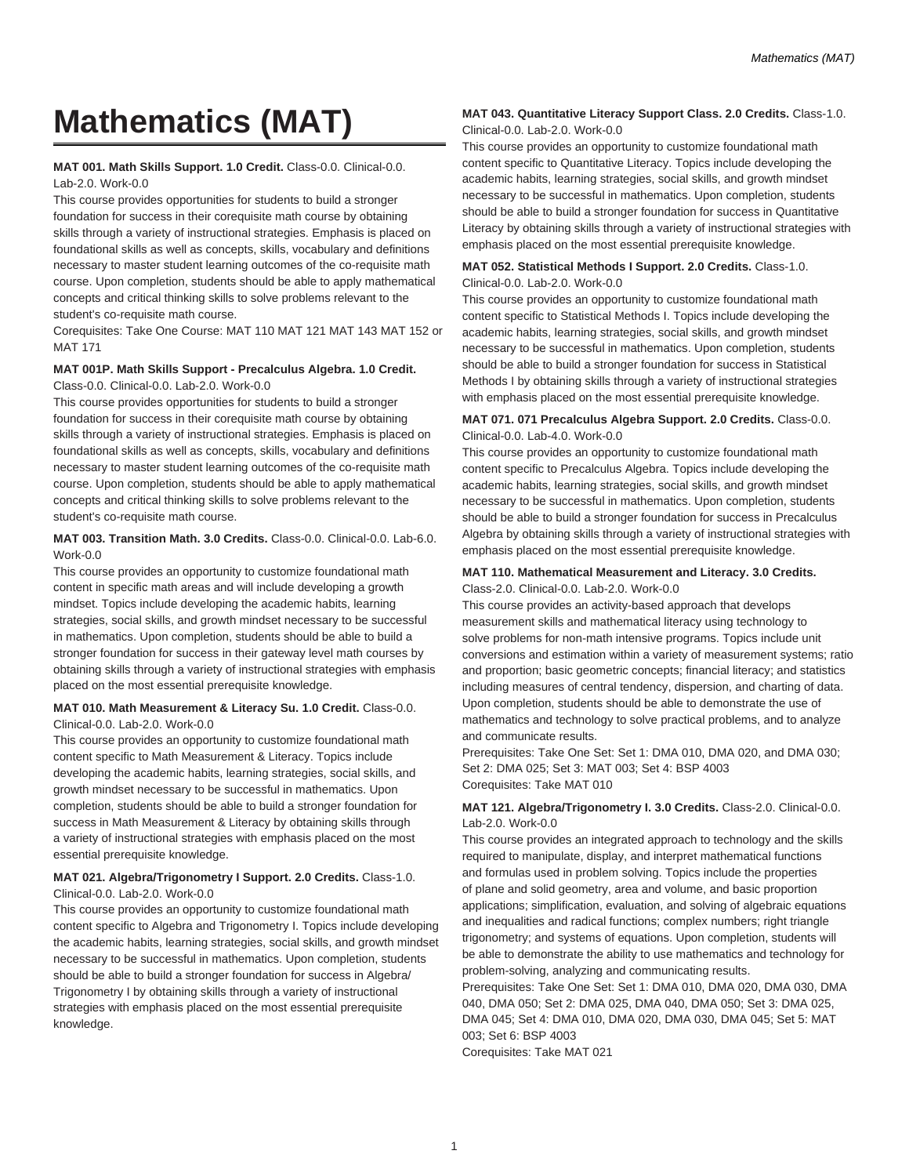# **Mathematics (MAT)**

#### **MAT 001. Math Skills Support. 1.0 Credit.** Class-0.0. Clinical-0.0. Lab-2.0. Work-0.0

This course provides opportunities for students to build a stronger foundation for success in their corequisite math course by obtaining skills through a variety of instructional strategies. Emphasis is placed on foundational skills as well as concepts, skills, vocabulary and definitions necessary to master student learning outcomes of the co-requisite math course. Upon completion, students should be able to apply mathematical concepts and critical thinking skills to solve problems relevant to the student's co-requisite math course.

Corequisites: Take One Course: MAT 110 MAT 121 MAT 143 MAT 152 or MAT 171

# **MAT 001P. Math Skills Support - Precalculus Algebra. 1.0 Credit.** Class-0.0. Clinical-0.0. Lab-2.0. Work-0.0

This course provides opportunities for students to build a stronger foundation for success in their corequisite math course by obtaining skills through a variety of instructional strategies. Emphasis is placed on foundational skills as well as concepts, skills, vocabulary and definitions necessary to master student learning outcomes of the co-requisite math course. Upon completion, students should be able to apply mathematical concepts and critical thinking skills to solve problems relevant to the student's co-requisite math course.

# **MAT 003. Transition Math. 3.0 Credits.** Class-0.0. Clinical-0.0. Lab-6.0. Work-0.0

This course provides an opportunity to customize foundational math content in specific math areas and will include developing a growth mindset. Topics include developing the academic habits, learning strategies, social skills, and growth mindset necessary to be successful in mathematics. Upon completion, students should be able to build a stronger foundation for success in their gateway level math courses by obtaining skills through a variety of instructional strategies with emphasis placed on the most essential prerequisite knowledge.

## **MAT 010. Math Measurement & Literacy Su. 1.0 Credit.** Class-0.0. Clinical-0.0. Lab-2.0. Work-0.0

This course provides an opportunity to customize foundational math content specific to Math Measurement & Literacy. Topics include developing the academic habits, learning strategies, social skills, and growth mindset necessary to be successful in mathematics. Upon completion, students should be able to build a stronger foundation for success in Math Measurement & Literacy by obtaining skills through a variety of instructional strategies with emphasis placed on the most essential prerequisite knowledge.

#### **MAT 021. Algebra/Trigonometry I Support. 2.0 Credits.** Class-1.0. Clinical-0.0. Lab-2.0. Work-0.0

This course provides an opportunity to customize foundational math content specific to Algebra and Trigonometry I. Topics include developing the academic habits, learning strategies, social skills, and growth mindset necessary to be successful in mathematics. Upon completion, students should be able to build a stronger foundation for success in Algebra/ Trigonometry I by obtaining skills through a variety of instructional strategies with emphasis placed on the most essential prerequisite knowledge.

# **MAT 043. Quantitative Literacy Support Class. 2.0 Credits.** Class-1.0. Clinical-0.0. Lab-2.0. Work-0.0

This course provides an opportunity to customize foundational math content specific to Quantitative Literacy. Topics include developing the academic habits, learning strategies, social skills, and growth mindset necessary to be successful in mathematics. Upon completion, students should be able to build a stronger foundation for success in Quantitative Literacy by obtaining skills through a variety of instructional strategies with emphasis placed on the most essential prerequisite knowledge.

# **MAT 052. Statistical Methods I Support. 2.0 Credits.** Class-1.0. Clinical-0.0. Lab-2.0. Work-0.0

This course provides an opportunity to customize foundational math content specific to Statistical Methods I. Topics include developing the academic habits, learning strategies, social skills, and growth mindset necessary to be successful in mathematics. Upon completion, students should be able to build a stronger foundation for success in Statistical Methods I by obtaining skills through a variety of instructional strategies with emphasis placed on the most essential prerequisite knowledge.

## **MAT 071. 071 Precalculus Algebra Support. 2.0 Credits.** Class-0.0. Clinical-0.0. Lab-4.0. Work-0.0

This course provides an opportunity to customize foundational math content specific to Precalculus Algebra. Topics include developing the academic habits, learning strategies, social skills, and growth mindset necessary to be successful in mathematics. Upon completion, students should be able to build a stronger foundation for success in Precalculus Algebra by obtaining skills through a variety of instructional strategies with emphasis placed on the most essential prerequisite knowledge.

## **MAT 110. Mathematical Measurement and Literacy. 3.0 Credits.** Class-2.0. Clinical-0.0. Lab-2.0. Work-0.0

This course provides an activity-based approach that develops measurement skills and mathematical literacy using technology to solve problems for non-math intensive programs. Topics include unit conversions and estimation within a variety of measurement systems; ratio and proportion; basic geometric concepts; financial literacy; and statistics including measures of central tendency, dispersion, and charting of data. Upon completion, students should be able to demonstrate the use of mathematics and technology to solve practical problems, and to analyze and communicate results.

Prerequisites: Take One Set: Set 1: DMA 010, DMA 020, and DMA 030; Set 2: DMA 025; Set 3: MAT 003; Set 4: BSP 4003 Corequisites: Take MAT 010

# **MAT 121. Algebra/Trigonometry I. 3.0 Credits.** Class-2.0. Clinical-0.0. Lab-2.0. Work-0.0

This course provides an integrated approach to technology and the skills required to manipulate, display, and interpret mathematical functions and formulas used in problem solving. Topics include the properties of plane and solid geometry, area and volume, and basic proportion applications; simplification, evaluation, and solving of algebraic equations and inequalities and radical functions; complex numbers; right triangle trigonometry; and systems of equations. Upon completion, students will be able to demonstrate the ability to use mathematics and technology for problem-solving, analyzing and communicating results.

Prerequisites: Take One Set: Set 1: DMA 010, DMA 020, DMA 030, DMA 040, DMA 050; Set 2: DMA 025, DMA 040, DMA 050; Set 3: DMA 025, DMA 045; Set 4: DMA 010, DMA 020, DMA 030, DMA 045; Set 5: MAT 003; Set 6: BSP 4003

Corequisites: Take MAT 021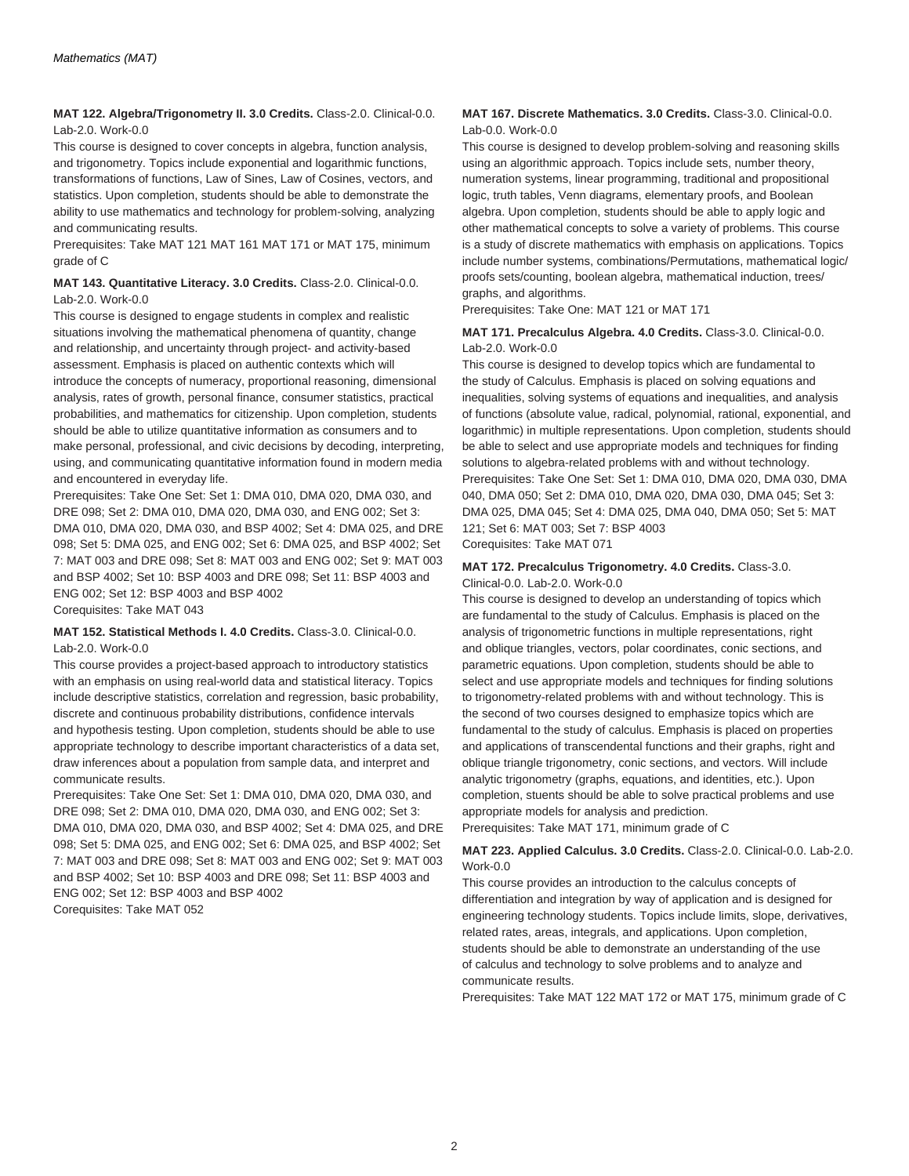**MAT 122. Algebra/Trigonometry II. 3.0 Credits.** Class-2.0. Clinical-0.0. Lab-2.0. Work-0.0

This course is designed to cover concepts in algebra, function analysis, and trigonometry. Topics include exponential and logarithmic functions, transformations of functions, Law of Sines, Law of Cosines, vectors, and statistics. Upon completion, students should be able to demonstrate the ability to use mathematics and technology for problem-solving, analyzing and communicating results.

Prerequisites: Take MAT 121 MAT 161 MAT 171 or MAT 175, minimum grade of C

#### **MAT 143. Quantitative Literacy. 3.0 Credits.** Class-2.0. Clinical-0.0. Lab-2.0. Work-0.0

This course is designed to engage students in complex and realistic situations involving the mathematical phenomena of quantity, change and relationship, and uncertainty through project- and activity-based assessment. Emphasis is placed on authentic contexts which will introduce the concepts of numeracy, proportional reasoning, dimensional analysis, rates of growth, personal finance, consumer statistics, practical probabilities, and mathematics for citizenship. Upon completion, students should be able to utilize quantitative information as consumers and to make personal, professional, and civic decisions by decoding, interpreting, using, and communicating quantitative information found in modern media and encountered in everyday life.

Prerequisites: Take One Set: Set 1: DMA 010, DMA 020, DMA 030, and DRE 098; Set 2: DMA 010, DMA 020, DMA 030, and ENG 002; Set 3: DMA 010, DMA 020, DMA 030, and BSP 4002; Set 4: DMA 025, and DRE 098; Set 5: DMA 025, and ENG 002; Set 6: DMA 025, and BSP 4002; Set 7: MAT 003 and DRE 098; Set 8: MAT 003 and ENG 002; Set 9: MAT 003 and BSP 4002; Set 10: BSP 4003 and DRE 098; Set 11: BSP 4003 and ENG 002; Set 12: BSP 4003 and BSP 4002 Corequisites: Take MAT 043

#### **MAT 152. Statistical Methods I. 4.0 Credits.** Class-3.0. Clinical-0.0. Lab-2.0. Work-0.0

This course provides a project-based approach to introductory statistics with an emphasis on using real-world data and statistical literacy. Topics include descriptive statistics, correlation and regression, basic probability, discrete and continuous probability distributions, confidence intervals and hypothesis testing. Upon completion, students should be able to use appropriate technology to describe important characteristics of a data set, draw inferences about a population from sample data, and interpret and communicate results.

Prerequisites: Take One Set: Set 1: DMA 010, DMA 020, DMA 030, and DRE 098; Set 2: DMA 010, DMA 020, DMA 030, and ENG 002; Set 3: DMA 010, DMA 020, DMA 030, and BSP 4002; Set 4: DMA 025, and DRE 098; Set 5: DMA 025, and ENG 002; Set 6: DMA 025, and BSP 4002; Set 7: MAT 003 and DRE 098; Set 8: MAT 003 and ENG 002; Set 9: MAT 003 and BSP 4002; Set 10: BSP 4003 and DRE 098; Set 11: BSP 4003 and ENG 002; Set 12: BSP 4003 and BSP 4002 Corequisites: Take MAT 052

#### **MAT 167. Discrete Mathematics. 3.0 Credits.** Class-3.0. Clinical-0.0. Lab-0.0. Work-0.0

This course is designed to develop problem-solving and reasoning skills using an algorithmic approach. Topics include sets, number theory, numeration systems, linear programming, traditional and propositional logic, truth tables, Venn diagrams, elementary proofs, and Boolean algebra. Upon completion, students should be able to apply logic and other mathematical concepts to solve a variety of problems. This course is a study of discrete mathematics with emphasis on applications. Topics include number systems, combinations/Permutations, mathematical logic/ proofs sets/counting, boolean algebra, mathematical induction, trees/ graphs, and algorithms.

Prerequisites: Take One: MAT 121 or MAT 171

# **MAT 171. Precalculus Algebra. 4.0 Credits.** Class-3.0. Clinical-0.0. Lab-2.0. Work-0.0

This course is designed to develop topics which are fundamental to the study of Calculus. Emphasis is placed on solving equations and inequalities, solving systems of equations and inequalities, and analysis of functions (absolute value, radical, polynomial, rational, exponential, and logarithmic) in multiple representations. Upon completion, students should be able to select and use appropriate models and techniques for finding solutions to algebra-related problems with and without technology. Prerequisites: Take One Set: Set 1: DMA 010, DMA 020, DMA 030, DMA 040, DMA 050; Set 2: DMA 010, DMA 020, DMA 030, DMA 045; Set 3: DMA 025, DMA 045; Set 4: DMA 025, DMA 040, DMA 050; Set 5: MAT 121; Set 6: MAT 003; Set 7: BSP 4003 Corequisites: Take MAT 071

#### **MAT 172. Precalculus Trigonometry. 4.0 Credits.** Class-3.0. Clinical-0.0. Lab-2.0. Work-0.0

This course is designed to develop an understanding of topics which are fundamental to the study of Calculus. Emphasis is placed on the analysis of trigonometric functions in multiple representations, right and oblique triangles, vectors, polar coordinates, conic sections, and parametric equations. Upon completion, students should be able to select and use appropriate models and techniques for finding solutions to trigonometry-related problems with and without technology. This is the second of two courses designed to emphasize topics which are fundamental to the study of calculus. Emphasis is placed on properties and applications of transcendental functions and their graphs, right and oblique triangle trigonometry, conic sections, and vectors. Will include analytic trigonometry (graphs, equations, and identities, etc.). Upon completion, stuents should be able to solve practical problems and use appropriate models for analysis and prediction.

Prerequisites: Take MAT 171, minimum grade of C

# **MAT 223. Applied Calculus. 3.0 Credits.** Class-2.0. Clinical-0.0. Lab-2.0. Work-0.0

This course provides an introduction to the calculus concepts of differentiation and integration by way of application and is designed for engineering technology students. Topics include limits, slope, derivatives, related rates, areas, integrals, and applications. Upon completion, students should be able to demonstrate an understanding of the use of calculus and technology to solve problems and to analyze and communicate results.

Prerequisites: Take MAT 122 MAT 172 or MAT 175, minimum grade of C